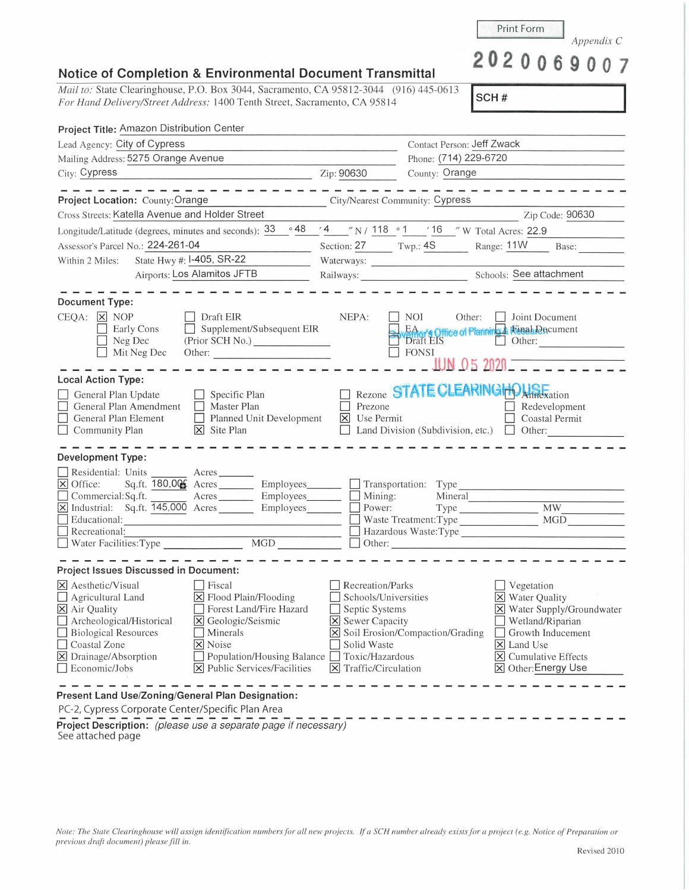| Note: The State Clearinghouse will assign identification numbers for all new projects. If a SCH number already exists for a project (e.g. Notice of Preparation or |  |
|--------------------------------------------------------------------------------------------------------------------------------------------------------------------|--|
| previous draft document) please fill in.                                                                                                                           |  |

## **Notice of Completion & Environmental Document Transmittal**

*Mail to: State Clearinghouse, P.O. Box 3044, Sacramento, CA 95812-3044* (916) 445-0613 *For Hand Delivery/Street Address:* 1400 Tenth Street, Sacramento, CA 958 14

| Project Title: Amazon Distribution Center                                                                                                                                                                                                                                                                                                                                                                                                                                                                                                                                                                           |                                                                                                                                                         |                                                                                                                                                                                                                                  |  |
|---------------------------------------------------------------------------------------------------------------------------------------------------------------------------------------------------------------------------------------------------------------------------------------------------------------------------------------------------------------------------------------------------------------------------------------------------------------------------------------------------------------------------------------------------------------------------------------------------------------------|---------------------------------------------------------------------------------------------------------------------------------------------------------|----------------------------------------------------------------------------------------------------------------------------------------------------------------------------------------------------------------------------------|--|
| Lead Agency: City of Cypress                                                                                                                                                                                                                                                                                                                                                                                                                                                                                                                                                                                        |                                                                                                                                                         | Contact Person: Jeff Zwack                                                                                                                                                                                                       |  |
| Mailing Address: 5275 Orange Avenue                                                                                                                                                                                                                                                                                                                                                                                                                                                                                                                                                                                 |                                                                                                                                                         | Phone: (714) 229-6720                                                                                                                                                                                                            |  |
| City: Cypress<br>Zip: 90630                                                                                                                                                                                                                                                                                                                                                                                                                                                                                                                                                                                         |                                                                                                                                                         | County: Orange                                                                                                                                                                                                                   |  |
| Project Location: County: Orange                                                                                                                                                                                                                                                                                                                                                                                                                                                                                                                                                                                    | City/Nearest Community: Cypress                                                                                                                         | ----------                                                                                                                                                                                                                       |  |
| Cross Streets: Katella Avenue and Holder Street                                                                                                                                                                                                                                                                                                                                                                                                                                                                                                                                                                     |                                                                                                                                                         | Zip Code: 90630                                                                                                                                                                                                                  |  |
| $\circ$ 48<br>Longitude/Latitude (degrees, minutes and seconds): 33                                                                                                                                                                                                                                                                                                                                                                                                                                                                                                                                                 |                                                                                                                                                         | '4 __"N / 118 o 1 __ ' 16 _" W Total Acres: 22.9                                                                                                                                                                                 |  |
| Assessor's Parcel No.: 224-261-04                                                                                                                                                                                                                                                                                                                                                                                                                                                                                                                                                                                   |                                                                                                                                                         | Section: 27 Twp.: 4S Range: 11W Base:                                                                                                                                                                                            |  |
| State Hwy #: I-405, SR-22<br>Within 2 Miles:                                                                                                                                                                                                                                                                                                                                                                                                                                                                                                                                                                        |                                                                                                                                                         | Waterways:                                                                                                                                                                                                                       |  |
| <b>Airports: Los Alamitos JFTB</b>                                                                                                                                                                                                                                                                                                                                                                                                                                                                                                                                                                                  |                                                                                                                                                         | Railways: Sele attachment                                                                                                                                                                                                        |  |
| <b>Document Type:</b><br>CEQA: X NOP<br>Draft EIR<br>$\Box$ Supplement/Subsequent EIR<br>Early Cons                                                                                                                                                                                                                                                                                                                                                                                                                                                                                                                 | NEPA:                                                                                                                                                   | NOI 11<br>Other:<br><b>Joint Document</b>                                                                                                                                                                                        |  |
| Neg Dec<br>Mit Neg Dec<br><b>Local Action Type:</b>                                                                                                                                                                                                                                                                                                                                                                                                                                                                                                                                                                 |                                                                                                                                                         | EA of Chice of Planning & Fenal Decument<br>Draft EIS Other:<br>$O(1)$ Other:<br><b>FONSI</b><br>JUN 05 2020                                                                                                                     |  |
| General Plan Update<br>$\Box$ Specific Plan<br>General Plan Amendment<br>Master Plan<br>Planned Unit Development<br>General Plan Element<br>$\overline{\mathsf{x}}$ Site Plan<br>$\Box$ Community Plan                                                                                                                                                                                                                                                                                                                                                                                                              | Prezone<br>$\times$<br>Use Permit                                                                                                                       | Rezone STATE CLEARINGHOUSE<br>Redevelopment<br>Coastal Permit<br>Land Division (Subdivision, etc.) $\Box$ Other:                                                                                                                 |  |
| <b>Development Type:</b>                                                                                                                                                                                                                                                                                                                                                                                                                                                                                                                                                                                            |                                                                                                                                                         |                                                                                                                                                                                                                                  |  |
| Residential: Units Acres<br>$\times$ Office:<br>Sq.ft. 180,006 Acres _________ Employees _______ _ Transportation: Type ________________<br>Commercial:Sq.ft.<br>Acres Employees Mining:<br>$\overline{X}$ Industrial: Sq.ft. $\overline{145,000}$ Acres<br>Educational:<br><u> Bernard Mars (m. 1989)</u><br>1900 - Johann Brown, margaretar amerikan (h. 1900)<br>Recreational:<br>△ Recreational:<br>△ Water Facilities:Type △ MGD △ MGD △ Dunner Conter → MGD △ Other: △ Other: △ Other: △ Other: △ Other: △ Other: △ Other: △ Other: △ Other: △ Other: △ Other: △ Other: △ Other: △ Other: △ Other: △ Other: △ | Employees________                                                                                                                                       | $\overline{\text{MW}}$<br>Power:<br><b>MGD</b><br>Waste Treatment: Type<br>Hazardous Waste:Type                                                                                                                                  |  |
| Project Issues Discussed in Document:                                                                                                                                                                                                                                                                                                                                                                                                                                                                                                                                                                               |                                                                                                                                                         |                                                                                                                                                                                                                                  |  |
| $\times$ Aesthetic/Visual<br>$ $ Fiscal<br>$\Box$ Agricultural Land<br>X Flood Plain/Flooding<br>X Air Quality<br>Forest Land/Fire Hazard<br>Archeological/Historical<br>$\boxtimes$ Geologic/Seismic<br><b>Biological Resources</b><br>Minerals<br>Coastal Zone<br>X Noise<br>Population/Housing Balance<br>$\boxtimes$ Drainage/Absorption<br>X Public Services/Facilities<br>Economic/Jobs                                                                                                                                                                                                                       | Recreation/Parks<br>Schools/Universities<br>$\Box$ Septic Systems<br><b>X</b> Sewer Capacity<br>Solid Waste<br>Toxic/Hazardous<br>X Traffic/Circulation | Vegetation<br>X Water Quality<br>X Water Supply/Groundwater<br>Wetland/Riparian<br>X Soil Erosion/Compaction/Grading<br>Growth Inducement<br>$\times$ Land Use<br>$\boxed{\mathsf{X}}$ Cumulative Effects<br>X Other: Energy Use |  |

**Project Description:** (please use a separate page if necessary) See attached page

*Appendix* C **2020069007** 

**jscH** # I

Print Form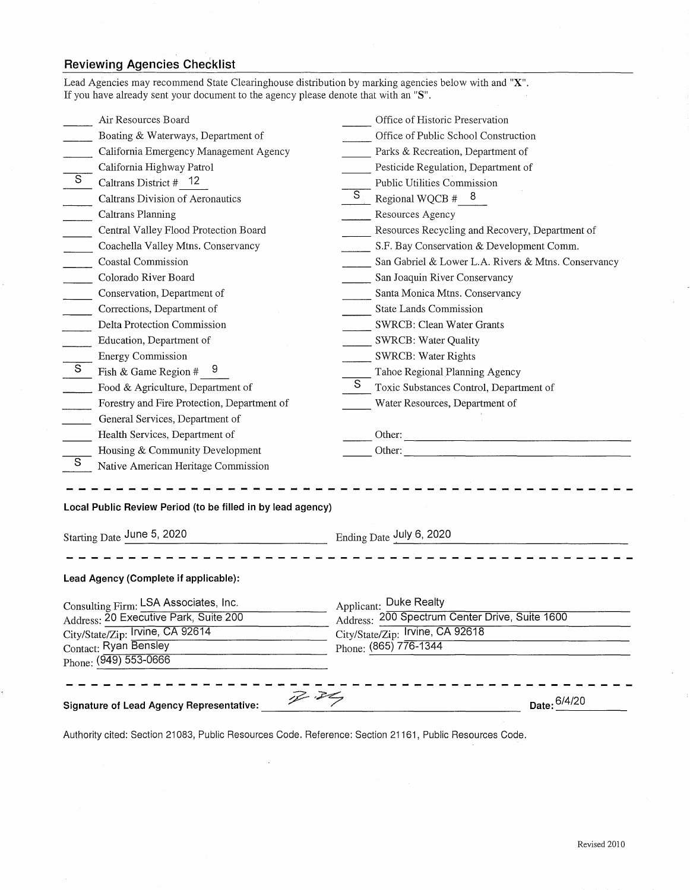## **Reviewing Agencies Checklist**

|                                                                                                                                                                      | $\mathbb{Z}$ . Elem<br>Date: 6/4/20                                                                                                   |
|----------------------------------------------------------------------------------------------------------------------------------------------------------------------|---------------------------------------------------------------------------------------------------------------------------------------|
| Consulting Firm: LSA Associates, Inc.<br>Address: 20 Executive Park, Suite 200<br>City/State/Zip: Irvine, CA 92614<br>Contact: Ryan Bensley<br>Phone: (949) 553-0666 | Applicant: Duke Realty<br>Address: 200 Spectrum Center Drive, Suite 1600<br>City/State/Zip: Irvine, CA 92618<br>Phone: (865) 776-1344 |
| Lead Agency (Complete if applicable):                                                                                                                                |                                                                                                                                       |
| Starting Date June 5, 2020<br>Ending Date July 6, 2020                                                                                                               |                                                                                                                                       |
| Local Public Review Period (to be filled in by lead agency)                                                                                                          |                                                                                                                                       |
| Housing & Community Development<br>S<br>Native American Heritage Commission                                                                                          |                                                                                                                                       |
| Health Services, Department of                                                                                                                                       |                                                                                                                                       |
| General Services, Department of<br>$\sim 10^{-1}$                                                                                                                    |                                                                                                                                       |
| Forestry and Fire Protection, Department of                                                                                                                          | Water Resources, Department of                                                                                                        |
| Food & Agriculture, Department of                                                                                                                                    | S.<br>Toxic Substances Control, Department of                                                                                         |
| $\overline{s}$<br>Fish & Game Region # $9$                                                                                                                           | Tahoe Regional Planning Agency                                                                                                        |
| <b>Energy Commission</b>                                                                                                                                             | <b>SWRCB: Water Rights</b>                                                                                                            |
| Education, Department of                                                                                                                                             | <b>SWRCB: Water Quality</b>                                                                                                           |
| Delta Protection Commission                                                                                                                                          | SWRCB: Clean Water Grants                                                                                                             |
| Corrections, Department of                                                                                                                                           | State Lands Commission                                                                                                                |
| Conservation, Department of                                                                                                                                          | Santa Monica Mtns. Conservancy                                                                                                        |
| Colorado River Board                                                                                                                                                 | San Joaquin River Conservancy                                                                                                         |
| $\overline{\phantom{a}}$<br>Coastal Commission                                                                                                                       | San Gabriel & Lower L.A. Rivers & Mtns. Conservancy                                                                                   |
| Coachella Valley Mtns. Conservancy                                                                                                                                   | S.F. Bay Conservation & Development Comm.                                                                                             |
| Central Valley Flood Protection Board<br>$\mathcal{L}^{\text{max}}$                                                                                                  | Resources Recycling and Recovery, Department of                                                                                       |
| Caltrans Planning                                                                                                                                                    | Resources Agency                                                                                                                      |
| Caltrans Division of Aeronautics                                                                                                                                     | $S_{\cdot}$<br>Regional WQCB $#$ 8                                                                                                    |
| $\overline{S}$<br>Caltrans District $#$ 12                                                                                                                           | Public Utilities Commission                                                                                                           |
| California Highway Patrol                                                                                                                                            | Pesticide Regulation, Department of                                                                                                   |
| Boating & Waterways, Department of<br>California Emergency Management Agency                                                                                         | Parks & Recreation, Department of                                                                                                     |
|                                                                                                                                                                      | Office of Public School Construction                                                                                                  |

Authority cited: Section 21083, Public Resources Code. Reference: Section 21161, Public Resources Code.

 $\lambda$